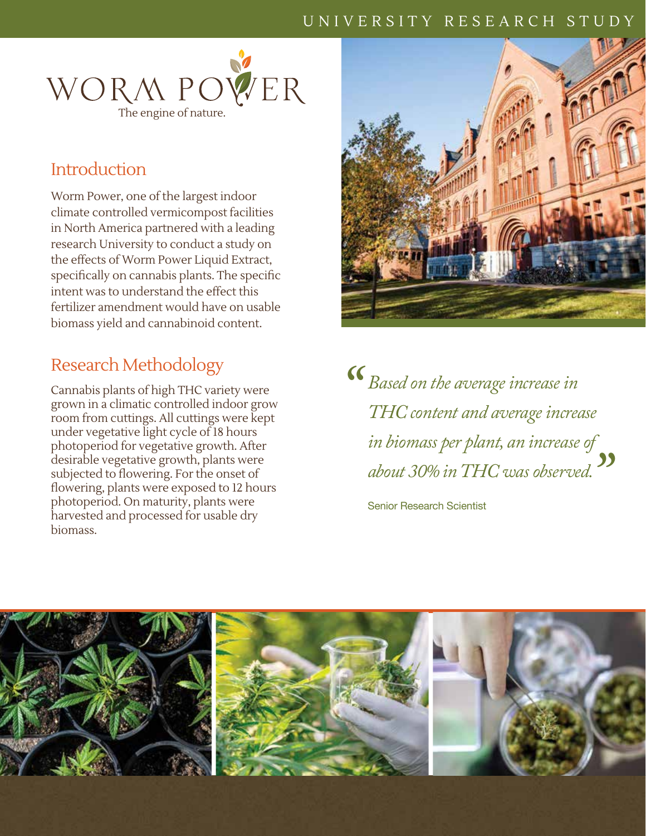## UNIVERSITY RESEARCH STUDY



## **Introduction**

Worm Power, one of the largest indoor climate controlled vermicompost facilities in North America partnered with a leading research University to conduct a study on the effects of Worm Power Liquid Extract, specifically on cannabis plants. The specific intent was to understand the effect this fertilizer amendment would have on usable biomass yield and cannabinoid content.

## Research Methodology

Cannabis plants of high THC variety were grown in a climatic controlled indoor grow room from cuttings. All cuttings were kept under vegetative light cycle of 18 hours photoperiod for vegetative growth. After desirable vegetative growth, plants were subjected to flowering. For the onset of flowering, plants were exposed to 12 hours photoperiod. On maturity, plants were harvested and processed for usable dry biomass.



<sup>8</sup> Based on the average increase in<br>THC content and average increa *THC content and average increase in biomass per plant, an increase of about 30% in THC was observed. "*

Senior Research Scientist